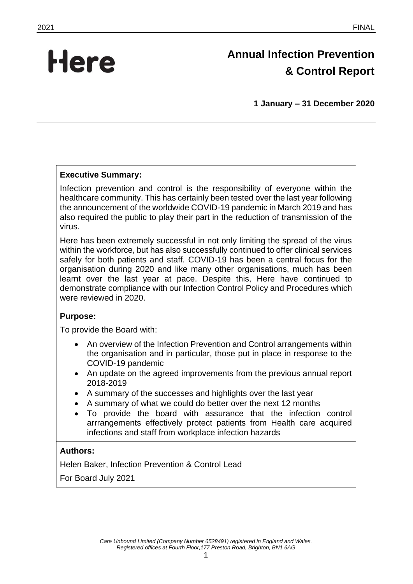# **Here**

# **Annual Infection Prevention & Control Report**

**1 January – 31 December 2020**

# **Executive Summary:**

Infection prevention and control is the responsibility of everyone within the healthcare community. This has certainly been tested over the last year following the announcement of the worldwide COVID-19 pandemic in March 2019 and has also required the public to play their part in the reduction of transmission of the virus.

Here has been extremely successful in not only limiting the spread of the virus within the workforce, but has also successfully continued to offer clinical services safely for both patients and staff. COVID-19 has been a central focus for the organisation during 2020 and like many other organisations, much has been learnt over the last year at pace. Despite this, Here have continued to demonstrate compliance with our Infection Control Policy and Procedures which were reviewed in 2020.

#### **Purpose:**

To provide the Board with:

- An overview of the Infection Prevention and Control arrangements within the organisation and in particular, those put in place in response to the COVID-19 pandemic
- An update on the agreed improvements from the previous annual report 2018-2019
- A summary of the successes and highlights over the last year
- A summary of what we could do better over the next 12 months
- To provide the board with assurance that the infection control arrrangements effectively protect patients from Health care acquired infections and staff from workplace infection hazards

#### **Authors:**

Helen Baker, Infection Prevention & Control Lead

For Board July 2021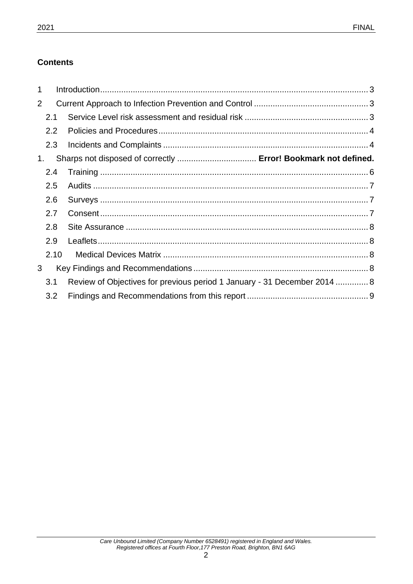# **Contents**

| 1              |                  |                                                                          |  |
|----------------|------------------|--------------------------------------------------------------------------|--|
| $\overline{2}$ |                  |                                                                          |  |
|                | 2.1              |                                                                          |  |
|                | $2.2\phantom{0}$ |                                                                          |  |
|                | 2.3              |                                                                          |  |
| 1.             |                  | Sharps not disposed of correctly  Error! Bookmark not defined.           |  |
|                | 2.4              |                                                                          |  |
|                | 2.5              |                                                                          |  |
|                | 2.6              |                                                                          |  |
|                | 2.7              |                                                                          |  |
|                | 2.8              |                                                                          |  |
|                | 2.9              |                                                                          |  |
|                | 2.10             |                                                                          |  |
| 3              |                  |                                                                          |  |
|                | 3.1              | Review of Objectives for previous period 1 January - 31 December 2014  8 |  |
|                | 3.2              |                                                                          |  |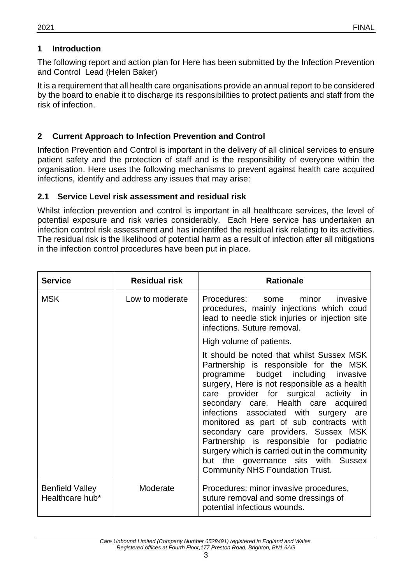# <span id="page-2-0"></span>**1 Introduction**

The following report and action plan for Here has been submitted by the Infection Prevention and Control Lead (Helen Baker)

It is a requirement that all health care organisations provide an annual report to be considered by the board to enable it to discharge its responsibilities to protect patients and staff from the risk of infection.

### <span id="page-2-1"></span>**2 Current Approach to Infection Prevention and Control**

Infection Prevention and Control is important in the delivery of all clinical services to ensure patient safety and the protection of staff and is the responsibility of everyone within the organisation. Here uses the following mechanisms to prevent against health care acquired infections, identify and address any issues that may arise:

#### <span id="page-2-2"></span>**2.1 Service Level risk assessment and residual risk**

Whilst infection prevention and control is important in all healthcare services, the level of potential exposure and risk varies considerably. Each Here service has undertaken an infection control risk assessment and has indentifed the residual risk relating to its activities. The residual risk is the likelihood of potential harm as a result of infection after all mitigations in the infection control procedures have been put in place.

| <b>Service</b>                            | <b>Residual risk</b> | <b>Rationale</b>                                                                                                                                                                                                                                                                                                                                                                                                                                                                                                                                                        |
|-------------------------------------------|----------------------|-------------------------------------------------------------------------------------------------------------------------------------------------------------------------------------------------------------------------------------------------------------------------------------------------------------------------------------------------------------------------------------------------------------------------------------------------------------------------------------------------------------------------------------------------------------------------|
| <b>MSK</b>                                | Low to moderate      | Procedures: some<br>minor<br>invasive<br>procedures, mainly injections which coud<br>lead to needle stick injuries or injection site<br>infections. Suture removal.                                                                                                                                                                                                                                                                                                                                                                                                     |
|                                           |                      | High volume of patients.                                                                                                                                                                                                                                                                                                                                                                                                                                                                                                                                                |
|                                           |                      | It should be noted that whilst Sussex MSK<br>Partnership is responsible for the MSK<br>programme budget including invasive<br>surgery, Here is not responsible as a health<br>care provider for surgical activity in<br>secondary care. Health care acquired<br>infections associated with surgery are<br>monitored as part of sub contracts with<br>secondary care providers. Sussex MSK<br>Partnership is responsible for podiatric<br>surgery which is carried out in the community<br>but the governance sits with Sussex<br><b>Community NHS Foundation Trust.</b> |
| <b>Benfield Valley</b><br>Healthcare hub* | Moderate             | Procedures: minor invasive procedures,<br>suture removal and some dressings of<br>potential infectious wounds.                                                                                                                                                                                                                                                                                                                                                                                                                                                          |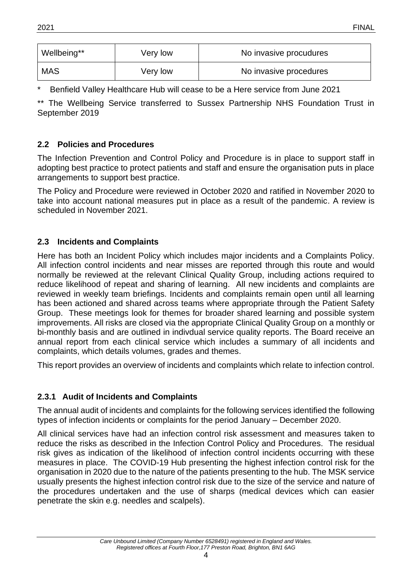| Wellbeing** | Very low | No invasive procudures |
|-------------|----------|------------------------|
| <b>MAS</b>  | Very low | No invasive procedures |

Benfield Valley Healthcare Hub will cease to be a Here service from June 2021

\*\* The Wellbeing Service transferred to Sussex Partnership NHS Foundation Trust in September 2019

# <span id="page-3-0"></span>**2.2 Policies and Procedures**

The Infection Prevention and Control Policy and Procedure is in place to support staff in adopting best practice to protect patients and staff and ensure the organisation puts in place arrangements to support best practice.

The Policy and Procedure were reviewed in October 2020 and ratified in November 2020 to take into account national measures put in place as a result of the pandemic. A review is scheduled in November 2021.

### <span id="page-3-1"></span>**2.3 Incidents and Complaints**

Here has both an Incident Policy which includes major incidents and a Complaints Policy. All infection control incidents and near misses are reported through this route and would normally be reviewed at the relevant Clinical Quality Group, including actions required to reduce likelihood of repeat and sharing of learning. All new incidents and complaints are reviewed in weekly team briefings. Incidents and complaints remain open until all learning has been actioned and shared across teams where appropriate through the Patient Safety Group. These meetings look for themes for broader shared learning and possible system improvements. All risks are closed via the appropriate Clinical Quality Group on a monthly or bi-monthly basis and are outlined in indivdual service quality reports. The Board receive an annual report from each clinical service which includes a summary of all incidents and complaints, which details volumes, grades and themes.

This report provides an overview of incidents and complaints which relate to infection control.

# **2.3.1 Audit of Incidents and Complaints**

The annual audit of incidents and complaints for the following services identified the following types of infection incidents or complaints for the period January – December 2020.

All clinical services have had an infection control risk assessment and measures taken to reduce the risks as described in the Infection Control Policy and Procedures. The residual risk gives as indication of the likelihood of infection control incidents occurring with these measures in place. The COVID-19 Hub presenting the highest infection control risk for the organisation in 2020 due to the nature of the patients presenting to the hub. The MSK service usually presents the highest infection control risk due to the size of the service and nature of the procedures undertaken and the use of sharps (medical devices which can easier penetrate the skin e.g. needles and scalpels).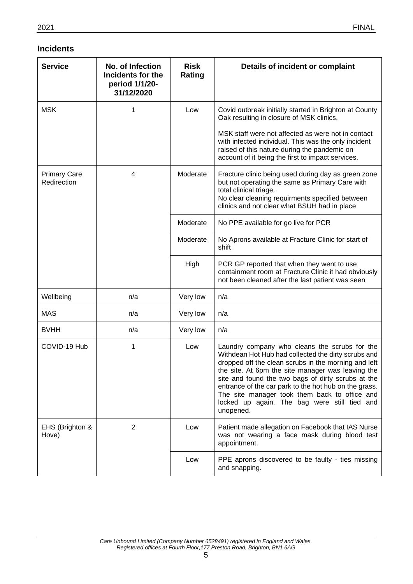#### **Incidents**

| <b>Service</b>                     | No. of Infection<br>Incidents for the<br>period 1/1/20-<br>31/12/2020 | <b>Risk</b><br>Rating | Details of incident or complaint                                                                                                                                                                                                                                                                                                                                                                                                               |
|------------------------------------|-----------------------------------------------------------------------|-----------------------|------------------------------------------------------------------------------------------------------------------------------------------------------------------------------------------------------------------------------------------------------------------------------------------------------------------------------------------------------------------------------------------------------------------------------------------------|
| <b>MSK</b>                         | 1                                                                     | Low                   | Covid outbreak initially started in Brighton at County<br>Oak resulting in closure of MSK clinics.                                                                                                                                                                                                                                                                                                                                             |
|                                    |                                                                       |                       | MSK staff were not affected as were not in contact<br>with infected individual. This was the only incident<br>raised of this nature during the pandemic on<br>account of it being the first to impact services.                                                                                                                                                                                                                                |
| <b>Primary Care</b><br>Redirection | 4                                                                     | Moderate              | Fracture clinic being used during day as green zone<br>but not operating the same as Primary Care with<br>total clinical triage.<br>No clear cleaning requirments specified between<br>clinics and not clear what BSUH had in place                                                                                                                                                                                                            |
|                                    |                                                                       | Moderate              | No PPE available for go live for PCR                                                                                                                                                                                                                                                                                                                                                                                                           |
|                                    |                                                                       | Moderate              | No Aprons available at Fracture Clinic for start of<br>shift                                                                                                                                                                                                                                                                                                                                                                                   |
|                                    |                                                                       | High                  | PCR GP reported that when they went to use<br>containment room at Fracture Clinic it had obviously<br>not been cleaned after the last patient was seen                                                                                                                                                                                                                                                                                         |
| Wellbeing                          | n/a                                                                   | Very low              | n/a                                                                                                                                                                                                                                                                                                                                                                                                                                            |
| <b>MAS</b>                         | n/a                                                                   | Very low              | n/a                                                                                                                                                                                                                                                                                                                                                                                                                                            |
| <b>BVHH</b>                        | n/a                                                                   | Very low              | n/a                                                                                                                                                                                                                                                                                                                                                                                                                                            |
| COVID-19 Hub                       | 1                                                                     | Low                   | Laundry company who cleans the scrubs for the<br>Withdean Hot Hub had collected the dirty scrubs and<br>dropped off the clean scrubs in the morning and left<br>the site. At 6pm the site manager was leaving the<br>site and found the two bags of dirty scrubs at the<br>entrance of the car park to the hot hub on the grass.<br>The site manager took them back to office and<br>locked up again. The bag were still tied and<br>unopened. |
| EHS (Brighton &<br>Hove)           | $\overline{2}$                                                        | Low                   | Patient made allegation on Facebook that IAS Nurse<br>was not wearing a face mask during blood test<br>appointment.                                                                                                                                                                                                                                                                                                                            |
|                                    |                                                                       | Low                   | PPE aprons discovered to be faulty - ties missing<br>and snapping.                                                                                                                                                                                                                                                                                                                                                                             |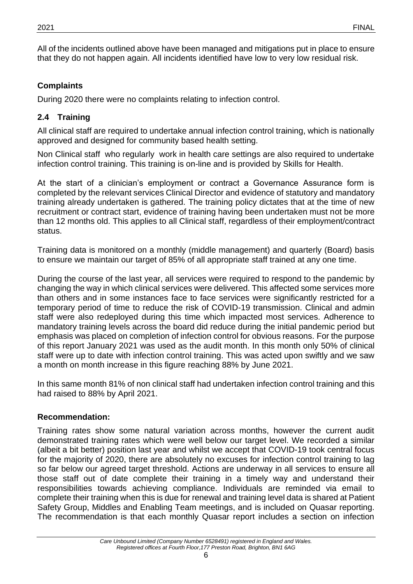All of the incidents outlined above have been managed and mitigations put in place to ensure that they do not happen again. All incidents identified have low to very low residual risk.

# **Complaints**

During 2020 there were no complaints relating to infection control.

# <span id="page-5-0"></span>**2.4 Training**

All clinical staff are required to undertake annual infection control training, which is nationally approved and designed for community based health setting.

Non Clinical staff who regularly work in health care settings are also required to undertake infection control training. This training is on-line and is provided by Skills for Health.

At the start of a clinician's employment or contract a Governance Assurance form is completed by the relevant services Clinical Director and evidence of statutory and mandatory training already undertaken is gathered. The training policy dictates that at the time of new recruitment or contract start, evidence of training having been undertaken must not be more than 12 months old. This applies to all Clinical staff, regardless of their employment/contract status.

Training data is monitored on a monthly (middle management) and quarterly (Board) basis to ensure we maintain our target of 85% of all appropriate staff trained at any one time.

During the course of the last year, all services were required to respond to the pandemic by changing the way in which clinical services were delivered. This affected some services more than others and in some instances face to face services were significantly restricted for a temporary period of time to reduce the risk of COVID-19 transmission. Clinical and admin staff were also redeployed during this time which impacted most services. Adherence to mandatory training levels across the board did reduce during the initial pandemic period but emphasis was placed on completion of infection control for obvious reasons. For the purpose of this report January 2021 was used as the audit month. In this month only 50% of clinical staff were up to date with infection control training. This was acted upon swiftly and we saw a month on month increase in this figure reaching 88% by June 2021.

In this same month 81% of non clinical staff had undertaken infection control training and this had raised to 88% by April 2021.

# **Recommendation:**

Training rates show some natural variation across months, however the current audit demonstrated training rates which were well below our target level. We recorded a similar (albeit a bit better) position last year and whilst we accept that COVID-19 took central focus for the majority of 2020, there are absolutely no excuses for infection control training to lag so far below our agreed target threshold. Actions are underway in all services to ensure all those staff out of date complete their training in a timely way and understand their responsibilities towards achieving compliance. Individuals are reminded via email to complete their training when this is due for renewal and training level data is shared at Patient Safety Group, Middles and Enabling Team meetings, and is included on Quasar reporting. The recommendation is that each monthly Quasar report includes a section on infection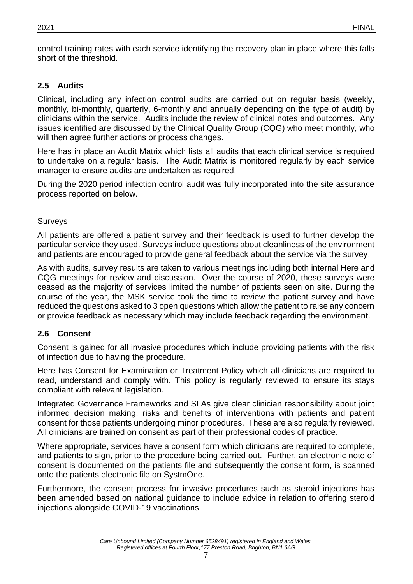control training rates with each service identifying the recovery plan in place where this falls short of the threshold.

# <span id="page-6-0"></span>**2.5 Audits**

Clinical, including any infection control audits are carried out on regular basis (weekly, monthly, bi-monthly, quarterly, 6-monthly and annually depending on the type of audit) by clinicians within the service. Audits include the review of clinical notes and outcomes. Any issues identified are discussed by the Clinical Quality Group (CQG) who meet monthly, who will then agree further actions or process changes.

Here has in place an Audit Matrix which lists all audits that each clinical service is required to undertake on a regular basis. The Audit Matrix is monitored regularly by each service manager to ensure audits are undertaken as required.

<span id="page-6-1"></span>During the 2020 period infection control audit was fully incorporated into the site assurance process reported on below.

#### Surveys

All patients are offered a patient survey and their feedback is used to further develop the particular service they used. Surveys include questions about cleanliness of the environment and patients are encouraged to provide general feedback about the service via the survey.

As with audits, survey results are taken to various meetings including both internal Here and CQG meetings for review and discussion. Over the course of 2020, these surveys were ceased as the majority of services limited the number of patients seen on site. During the course of the year, the MSK service took the time to review the patient survey and have reduced the questions asked to 3 open questions which allow the patient to raise any concern or provide feedback as necessary which may include feedback regarding the environment.

#### <span id="page-6-2"></span>**2.6 Consent**

Consent is gained for all invasive procedures which include providing patients with the risk of infection due to having the procedure.

Here has Consent for Examination or Treatment Policy which all clinicians are required to read, understand and comply with. This policy is regularly reviewed to ensure its stays compliant with relevant legislation.

Integrated Governance Frameworks and SLAs give clear clinician responsibility about joint informed decision making, risks and benefits of interventions with patients and patient consent for those patients undergoing minor procedures. These are also regularly reviewed. All clinicians are trained on consent as part of their professional codes of practice.

Where appropriate, services have a consent form which clinicians are required to complete, and patients to sign, prior to the procedure being carried out. Further, an electronic note of consent is documented on the patients file and subsequently the consent form, is scanned onto the patients electronic file on SystmOne.

Furthermore, the consent process for invasive procedures such as steroid injections has been amended based on national guidance to include advice in relation to offering steroid injections alongside COVID-19 vaccinations.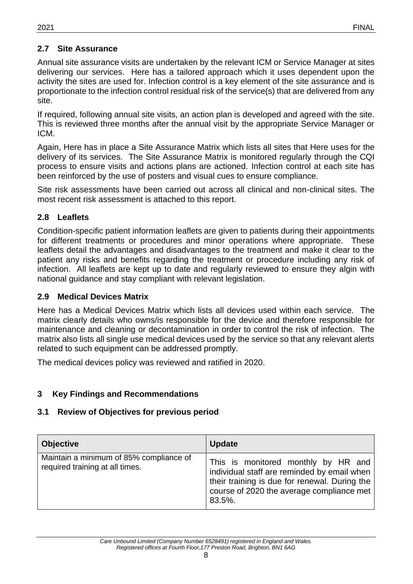# <span id="page-7-0"></span>**2.7 Site Assurance**

Annual site assurance visits are undertaken by the relevant ICM or Service Manager at sites delivering our services. Here has a tailored approach which it uses dependent upon the activity the sites are used for. Infection control is a key element of the site assurance and is proportionate to the infection control residual risk of the service(s) that are delivered from any site.

If required, following annual site visits, an action plan is developed and agreed with the site. This is reviewed three months after the annual visit by the appropriate Service Manager or ICM.

Again, Here has in place a Site Assurance Matrix which lists all sites that Here uses for the delivery of its services. The Site Assurance Matrix is monitored regularly through the CQI process to ensure visits and actions plans are actioned. Infection control at each site has been reinforced by the use of posters and visual cues to ensure compliance.

Site risk assessments have been carried out across all clinical and non-clinical sites. The most recent risk assessment is attached to this report.

### <span id="page-7-1"></span>**2.8 Leaflets**

Condition-specific patient information leaflets are given to patients during their appointments for different treatments or procedures and minor operations where appropriate. These leaflets detail the advantages and disadvantages to the treatment and make it clear to the patient any risks and benefits regarding the treatment or procedure including any risk of infection. All leaflets are kept up to date and regularly reviewed to ensure they algin with national guidance and stay compliant with relevant legislation.

#### <span id="page-7-2"></span>**2.9 Medical Devices Matrix**

Here has a Medical Devices Matrix which lists all devices used within each service. The matrix clearly details who owns/is responsible for the device and therefore responsible for maintenance and cleaning or decontamination in order to control the risk of infection. The matrix also lists all single use medical devices used by the service so that any relevant alerts related to such equipment can be addressed promptly.

The medical devices policy was reviewed and ratified in 2020.

# <span id="page-7-3"></span>**3 Key Findings and Recommendations**

#### <span id="page-7-4"></span>**3.1 Review of Objectives for previous period**

| <b>Objective</b>                                                           | <b>Update</b>                                                                                                                                                                              |
|----------------------------------------------------------------------------|--------------------------------------------------------------------------------------------------------------------------------------------------------------------------------------------|
| Maintain a minimum of 85% compliance of<br>required training at all times. | This is monitored monthly by HR and<br>individual staff are reminded by email when<br>their training is due for renewal. During the<br>course of 2020 the average compliance met<br>83.5%. |